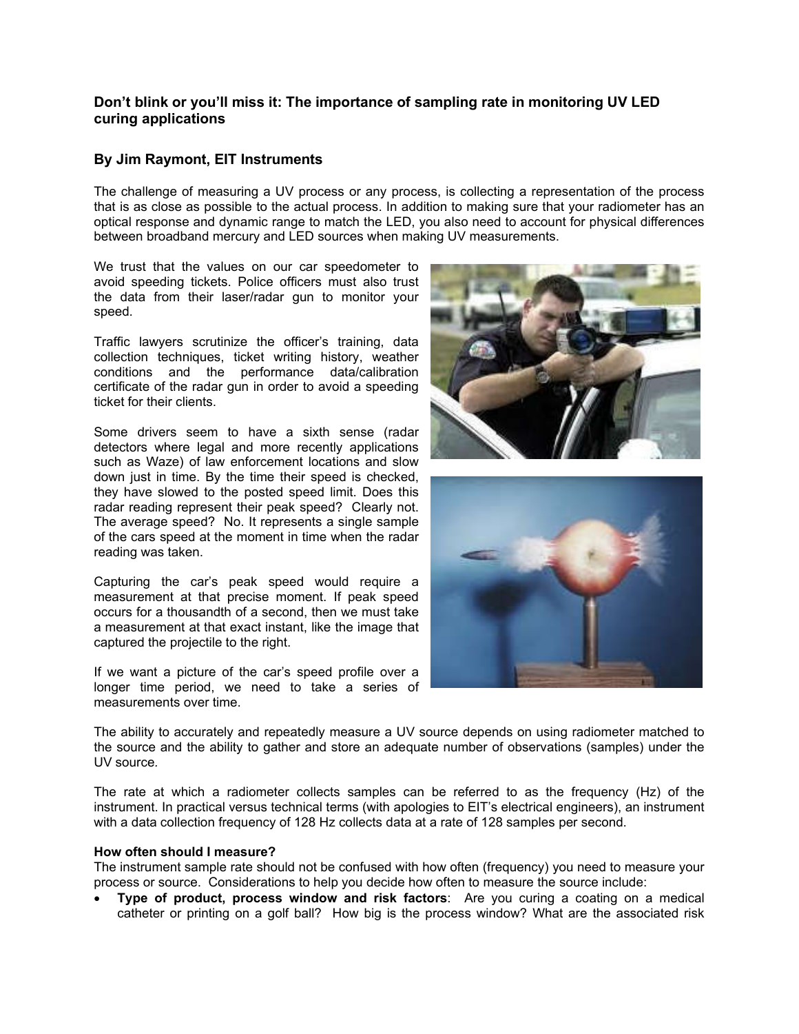## **Don't blink or you'll miss it: The importance of sampling rate in monitoring UV LED curing applications**

## **By Jim Raymont, EIT Instruments**

The challenge of measuring a UV process or any process, is collecting a representation of the process that is as close as possible to the actual process. In addition to making sure that your radiometer has an optical response and dynamic range to match the LED, you also need to account for physical differences between broadband mercury and LED sources when making UV measurements.

We trust that the values on our car speedometer to avoid speeding tickets. Police officers must also trust the data from their laser/radar gun to monitor your speed.

Traffic lawyers scrutinize the officer's training, data collection techniques, ticket writing history, weather conditions and the performance data/calibration certificate of the radar gun in order to avoid a speeding ticket for their clients.

Some drivers seem to have a sixth sense (radar detectors where legal and more recently applications such as Waze) of law enforcement locations and slow down just in time. By the time their speed is checked, they have slowed to the posted speed limit. Does this radar reading represent their peak speed? Clearly not. The average speed? No. It represents a single sample of the cars speed at the moment in time when the radar reading was taken.

Capturing the car's peak speed would require a measurement at that precise moment. If peak speed occurs for a thousandth of a second, then we must take a measurement at that exact instant, like the image that captured the projectile to the right.

If we want a picture of the car's speed profile over a longer time period, we need to take a series of measurements over time.





The ability to accurately and repeatedly measure a UV source depends on using radiometer matched to the source and the ability to gather and store an adequate number of observations (samples) under the UV source*.* 

The rate at which a radiometer collects samples can be referred to as the frequency (Hz) of the instrument. In practical versus technical terms (with apologies to EIT's electrical engineers), an instrument with a data collection frequency of 128 Hz collects data at a rate of 128 samples per second.

#### **How often should I measure?**

The instrument sample rate should not be confused with how often (frequency) you need to measure your process or source. Considerations to help you decide how often to measure the source include:

 **Type of product, process window and risk factors**: Are you curing a coating on a medical catheter or printing on a golf ball? How big is the process window? What are the associated risk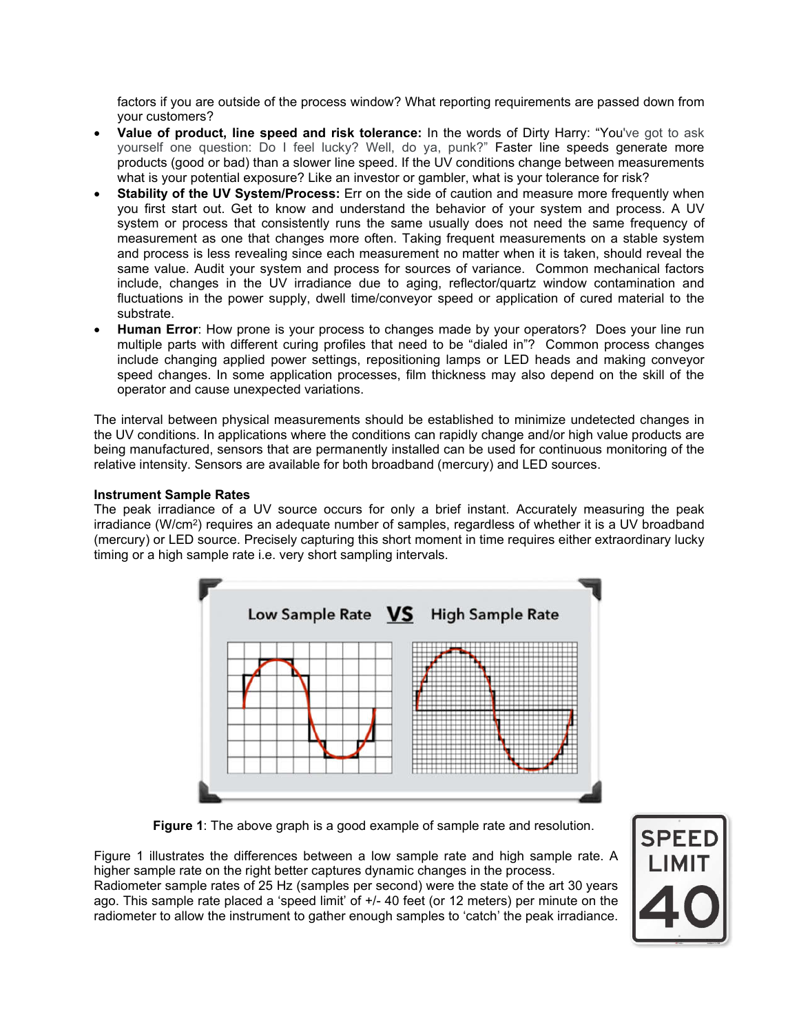factors if you are outside of the process window? What reporting requirements are passed down from your customers?

- **Value of product, line speed and risk tolerance:** In the words of Dirty Harry: "You've got to ask yourself one question: Do I feel lucky? Well, do ya, punk?" Faster line speeds generate more products (good or bad) than a slower line speed. If the UV conditions change between measurements what is your potential exposure? Like an investor or gambler, what is your tolerance for risk?
- **Stability of the UV System/Process:** Err on the side of caution and measure more frequently when you first start out. Get to know and understand the behavior of your system and process. A UV system or process that consistently runs the same usually does not need the same frequency of measurement as one that changes more often. Taking frequent measurements on a stable system and process is less revealing since each measurement no matter when it is taken, should reveal the same value. Audit your system and process for sources of variance. Common mechanical factors include, changes in the UV irradiance due to aging, reflector/quartz window contamination and fluctuations in the power supply, dwell time/conveyor speed or application of cured material to the substrate.
- **Human Error**: How prone is your process to changes made by your operators? Does your line run multiple parts with different curing profiles that need to be "dialed in"? Common process changes include changing applied power settings, repositioning lamps or LED heads and making conveyor speed changes. In some application processes, film thickness may also depend on the skill of the operator and cause unexpected variations.

The interval between physical measurements should be established to minimize undetected changes in the UV conditions. In applications where the conditions can rapidly change and/or high value products are being manufactured, sensors that are permanently installed can be used for continuous monitoring of the relative intensity. Sensors are available for both broadband (mercury) and LED sources.

#### **Instrument Sample Rates**

The peak irradiance of a UV source occurs for only a brief instant. Accurately measuring the peak irradiance (W/cm<sup>2</sup>) requires an adequate number of samples, regardless of whether it is a UV broadband (mercury) or LED source. Precisely capturing this short moment in time requires either extraordinary lucky timing or a high sample rate i.e. very short sampling intervals.



**Figure 1**: The above graph is a good example of sample rate and resolution.

Figure 1 illustrates the differences between a low sample rate and high sample rate. A higher sample rate on the right better captures dynamic changes in the process. Radiometer sample rates of 25 Hz (samples per second) were the state of the art 30 years ago. This sample rate placed a 'speed limit' of +/- 40 feet (or 12 meters) per minute on the radiometer to allow the instrument to gather enough samples to 'catch' the peak irradiance.

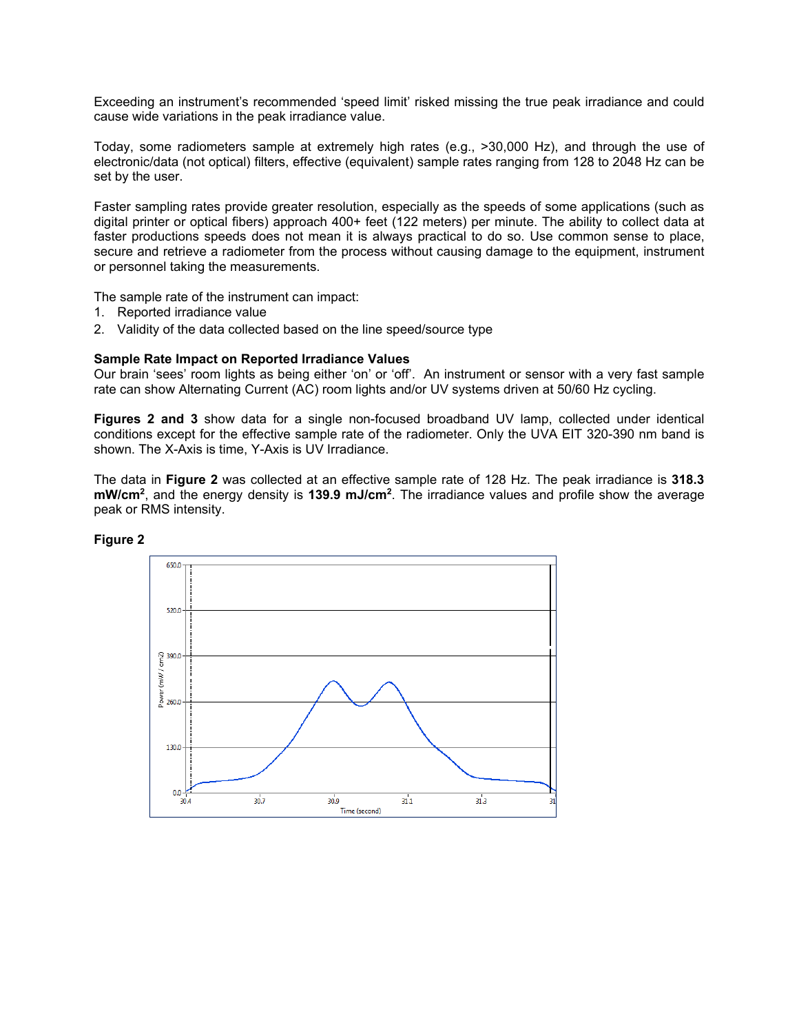Exceeding an instrument's recommended 'speed limit' risked missing the true peak irradiance and could cause wide variations in the peak irradiance value.

Today, some radiometers sample at extremely high rates (e.g., >30,000 Hz), and through the use of electronic/data (not optical) filters, effective (equivalent) sample rates ranging from 128 to 2048 Hz can be set by the user.

Faster sampling rates provide greater resolution, especially as the speeds of some applications (such as digital printer or optical fibers) approach 400+ feet (122 meters) per minute. The ability to collect data at faster productions speeds does not mean it is always practical to do so. Use common sense to place, secure and retrieve a radiometer from the process without causing damage to the equipment, instrument or personnel taking the measurements.

The sample rate of the instrument can impact:

- 1. Reported irradiance value
- 2. Validity of the data collected based on the line speed/source type

#### **Sample Rate Impact on Reported Irradiance Values**

Our brain 'sees' room lights as being either 'on' or 'off'. An instrument or sensor with a very fast sample rate can show Alternating Current (AC) room lights and/or UV systems driven at 50/60 Hz cycling.

**Figures 2 and 3** show data for a single non-focused broadband UV lamp, collected under identical conditions except for the effective sample rate of the radiometer. Only the UVA EIT 320-390 nm band is shown. The X-Axis is time, Y-Axis is UV Irradiance.

The data in **Figure 2** was collected at an effective sample rate of 128 Hz. The peak irradiance is **318.3 mW/cm2**, and the energy density is **139.9 mJ/cm2**. The irradiance values and profile show the average peak or RMS intensity.



**Figure 2**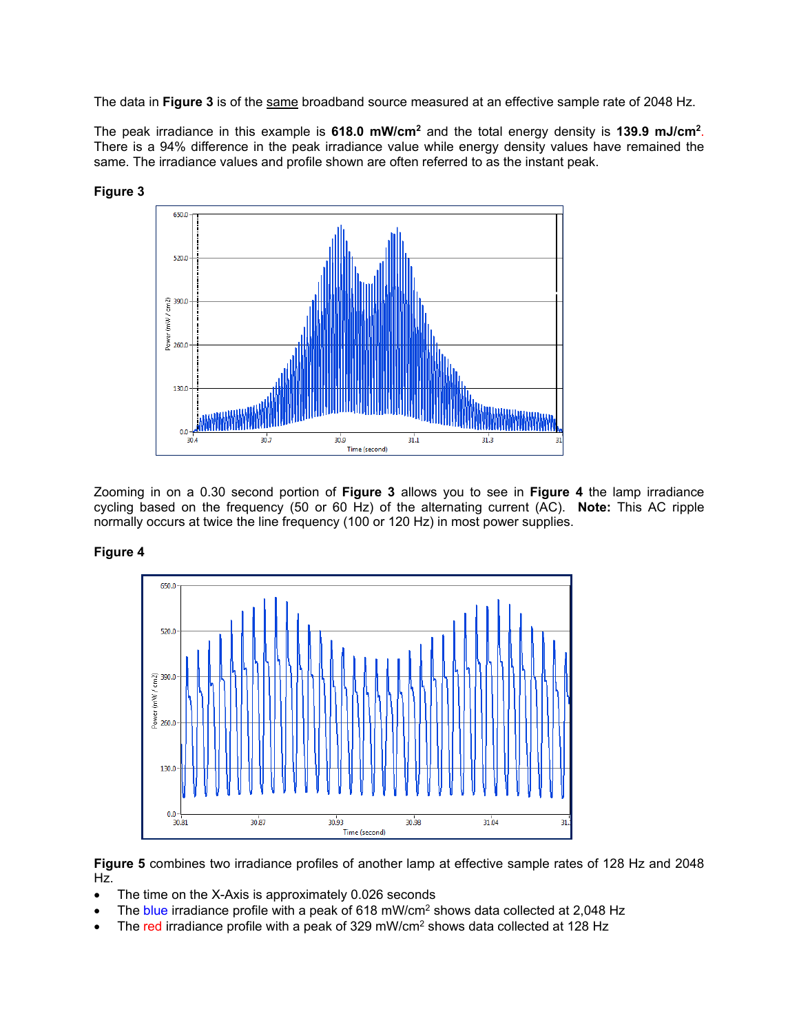The data in **Figure 3** is of the same broadband source measured at an effective sample rate of 2048 Hz.

The peak irradiance in this example is **618.0 mW/cm2** and the total energy density is **139.9 mJ/cm2**. There is a 94% difference in the peak irradiance value while energy density values have remained the same. The irradiance values and profile shown are often referred to as the instant peak.



Zooming in on a 0.30 second portion of **Figure 3** allows you to see in **Figure 4** the lamp irradiance cycling based on the frequency (50 or 60 Hz) of the alternating current (AC). **Note:** This AC ripple normally occurs at twice the line frequency (100 or 120 Hz) in most power supplies.

#### **Figure 4**



**Figure 5** combines two irradiance profiles of another lamp at effective sample rates of 128 Hz and 2048 Hz.

- The time on the X-Axis is approximately 0.026 seconds
- The blue irradiance profile with a peak of 618 mW/cm<sup>2</sup> shows data collected at 2,048 Hz
- The red irradiance profile with a peak of 329 mW/cm2 shows data collected at 128 Hz

# **Figure 3**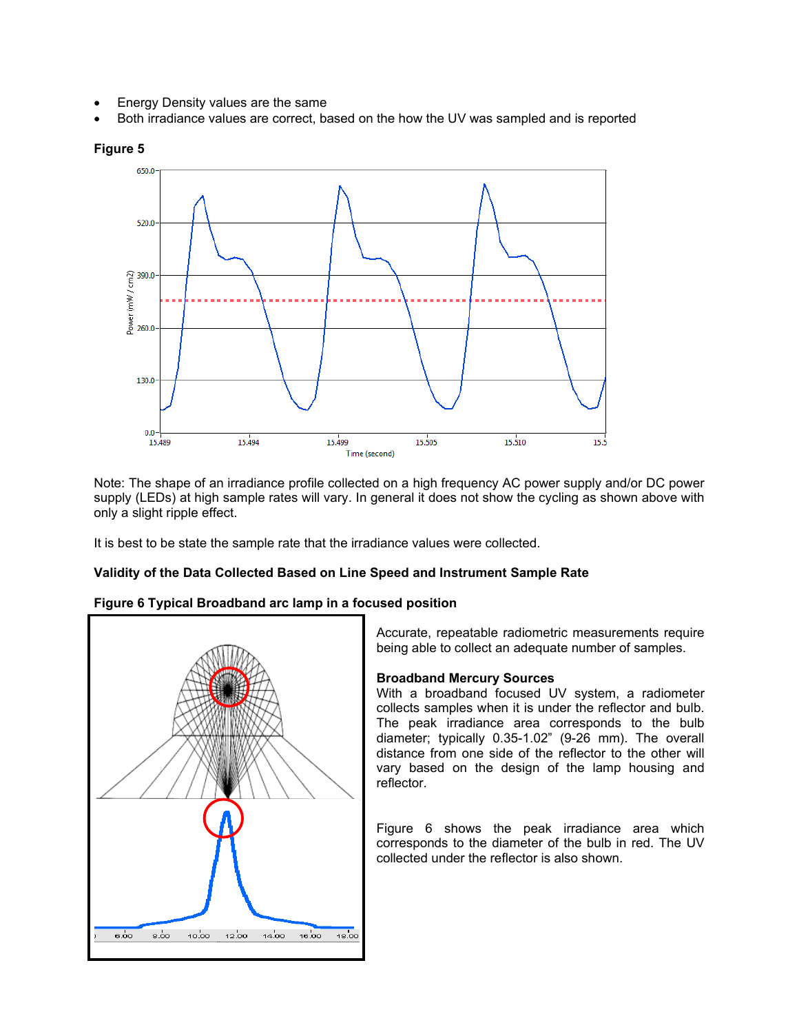- Energy Density values are the same
- Both irradiance values are correct, based on the how the UV was sampled and is reported



Note: The shape of an irradiance profile collected on a high frequency AC power supply and/or DC power supply (LEDs) at high sample rates will vary. In general it does not show the cycling as shown above with only a slight ripple effect.

It is best to be state the sample rate that the irradiance values were collected.

## **Validity of the Data Collected Based on Line Speed and Instrument Sample Rate**





Accurate, repeatable radiometric measurements require being able to collect an adequate number of samples.

## **Broadband Mercury Sources**

With a broadband focused UV system, a radiometer collects samples when it is under the reflector and bulb. The peak irradiance area corresponds to the bulb diameter; typically 0.35-1.02" (9-26 mm). The overall distance from one side of the reflector to the other will vary based on the design of the lamp housing and reflector.

Figure 6 shows the peak irradiance area which corresponds to the diameter of the bulb in red. The UV collected under the reflector is also shown.

# **Figure 5**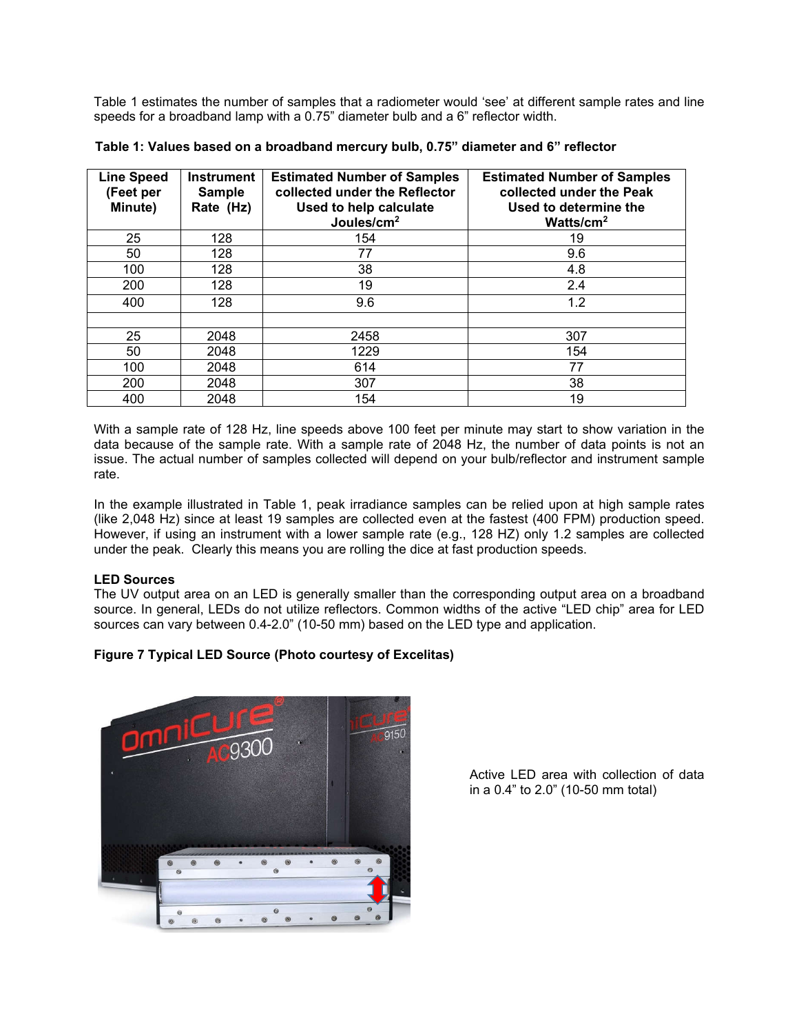Table 1 estimates the number of samples that a radiometer would 'see' at different sample rates and line speeds for a broadband lamp with a 0.75" diameter bulb and a 6" reflector width.

| <b>Line Speed</b><br>(Feet per<br>Minute) | <b>Instrument</b><br><b>Sample</b><br>Rate (Hz) | <b>Estimated Number of Samples</b><br>collected under the Reflector<br>Used to help calculate<br>Joules/cm <sup>2</sup> | <b>Estimated Number of Samples</b><br>collected under the Peak<br>Used to determine the<br>Watts/ $cm2$ |
|-------------------------------------------|-------------------------------------------------|-------------------------------------------------------------------------------------------------------------------------|---------------------------------------------------------------------------------------------------------|
| 25                                        | 128                                             | 154                                                                                                                     | 19                                                                                                      |
| 50                                        | 128                                             | 77                                                                                                                      | 9.6                                                                                                     |
| 100                                       | 128                                             | 38                                                                                                                      | 4.8                                                                                                     |
| 200                                       | 128                                             | 19                                                                                                                      | 2.4                                                                                                     |
| 400                                       | 128                                             | 9.6                                                                                                                     | 1.2                                                                                                     |
|                                           |                                                 |                                                                                                                         |                                                                                                         |
| 25                                        | 2048                                            | 2458                                                                                                                    | 307                                                                                                     |
| 50                                        | 2048                                            | 1229                                                                                                                    | 154                                                                                                     |
| 100                                       | 2048                                            | 614                                                                                                                     | 77                                                                                                      |
| 200                                       | 2048                                            | 307                                                                                                                     | 38                                                                                                      |
| 400                                       | 2048                                            | 154                                                                                                                     | 19                                                                                                      |

**Table 1: Values based on a broadband mercury bulb, 0.75" diameter and 6" reflector** 

With a sample rate of 128 Hz, line speeds above 100 feet per minute may start to show variation in the data because of the sample rate. With a sample rate of 2048 Hz, the number of data points is not an issue. The actual number of samples collected will depend on your bulb/reflector and instrument sample rate.

In the example illustrated in Table 1, peak irradiance samples can be relied upon at high sample rates (like 2,048 Hz) since at least 19 samples are collected even at the fastest (400 FPM) production speed. However, if using an instrument with a lower sample rate (e.g., 128 HZ) only 1.2 samples are collected under the peak. Clearly this means you are rolling the dice at fast production speeds.

#### **LED Sources**

The UV output area on an LED is generally smaller than the corresponding output area on a broadband source. In general, LEDs do not utilize reflectors. Common widths of the active "LED chip" area for LED sources can vary between 0.4-2.0" (10-50 mm) based on the LED type and application.

## **Figure 7 Typical LED Source (Photo courtesy of Excelitas)**



Active LED area with collection of data in a 0.4" to 2.0" (10-50 mm total)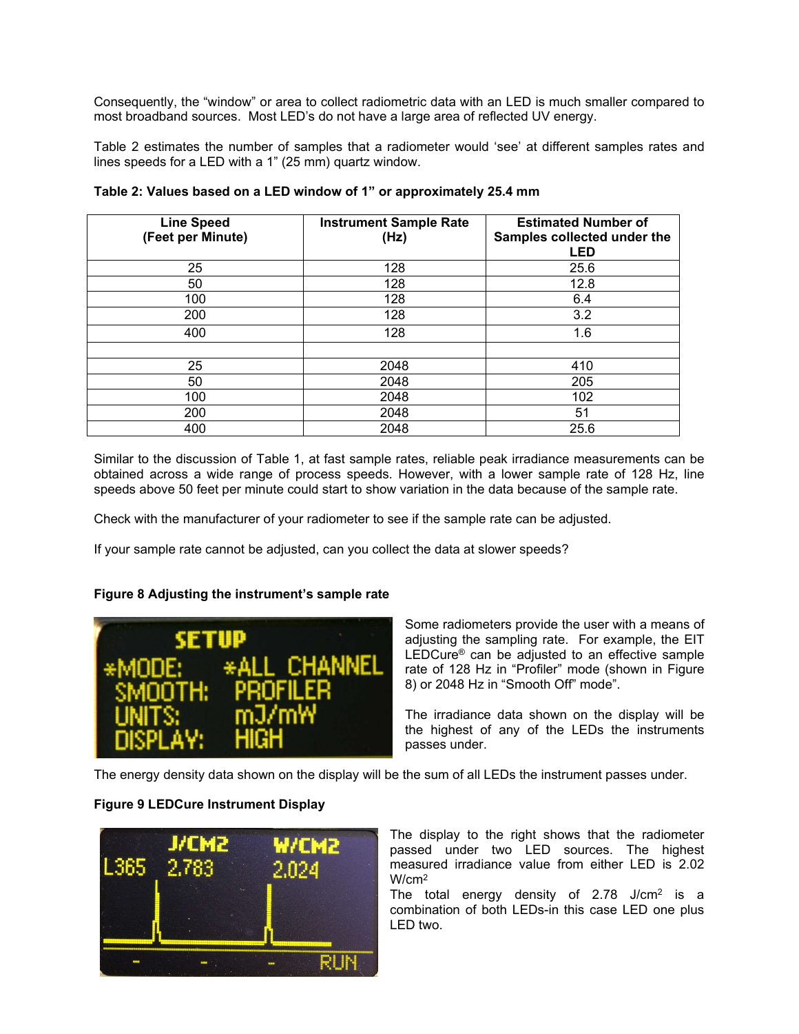Consequently, the "window" or area to collect radiometric data with an LED is much smaller compared to most broadband sources. Most LED's do not have a large area of reflected UV energy.

Table 2 estimates the number of samples that a radiometer would 'see' at different samples rates and lines speeds for a LED with a 1" (25 mm) quartz window.

| <b>Line Speed</b><br>(Feet per Minute) | <b>Instrument Sample Rate</b><br>(Hz) | <b>Estimated Number of</b><br>Samples collected under the<br><b>LED</b> |
|----------------------------------------|---------------------------------------|-------------------------------------------------------------------------|
| 25                                     | 128                                   | 25.6                                                                    |
| 50                                     | 128                                   | 12.8                                                                    |
| 100                                    | 128                                   | 6.4                                                                     |
| 200                                    | 128                                   | 3.2                                                                     |
| 400                                    | 128                                   | 1.6                                                                     |
|                                        |                                       |                                                                         |
| 25                                     | 2048                                  | 410                                                                     |
| 50                                     | 2048                                  | 205                                                                     |
| 100                                    | 2048                                  | 102                                                                     |
| 200                                    | 2048                                  | 51                                                                      |
| 400                                    | 2048                                  | 25.6                                                                    |

**Table 2: Values based on a LED window of 1" or approximately 25.4 mm**

Similar to the discussion of Table 1, at fast sample rates, reliable peak irradiance measurements can be obtained across a wide range of process speeds. However, with a lower sample rate of 128 Hz, line speeds above 50 feet per minute could start to show variation in the data because of the sample rate.

Check with the manufacturer of your radiometer to see if the sample rate can be adjusted.

If your sample rate cannot be adjusted, can you collect the data at slower speeds?

#### **Figure 8 Adjusting the instrument's sample rate**



Some radiometers provide the user with a means of adjusting the sampling rate. For example, the EIT LEDCure<sup>®</sup> can be adjusted to an effective sample rate of 128 Hz in "Profiler" mode (shown in Figure 8) or 2048 Hz in "Smooth Off" mode".

The irradiance data shown on the display will be the highest of any of the LEDs the instruments passes under.

The energy density data shown on the display will be the sum of all LEDs the instrument passes under.

## **Figure 9 LEDCure Instrument Display**



The display to the right shows that the radiometer passed under two LED sources. The highest measured irradiance value from either LED is 2.02 W/cm2

The total energy density of  $2.78$  J/cm<sup>2</sup> is a combination of both LEDs-in this case LED one plus LED two.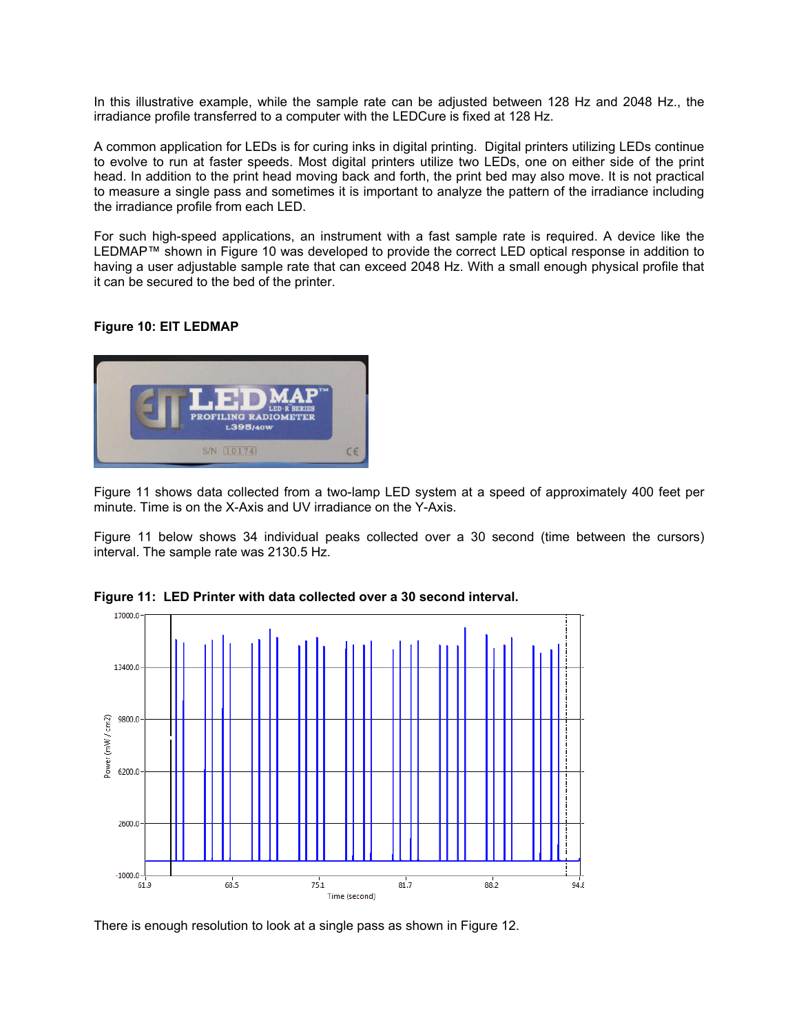In this illustrative example, while the sample rate can be adjusted between 128 Hz and 2048 Hz., the irradiance profile transferred to a computer with the LEDCure is fixed at 128 Hz.

A common application for LEDs is for curing inks in digital printing. Digital printers utilizing LEDs continue to evolve to run at faster speeds. Most digital printers utilize two LEDs, one on either side of the print head. In addition to the print head moving back and forth, the print bed may also move. It is not practical to measure a single pass and sometimes it is important to analyze the pattern of the irradiance including the irradiance profile from each LED.

For such high-speed applications, an instrument with a fast sample rate is required. A device like the LEDMAP™ shown in Figure 10 was developed to provide the correct LED optical response in addition to having a user adjustable sample rate that can exceed 2048 Hz. With a small enough physical profile that it can be secured to the bed of the printer.

## **Figure 10: EIT LEDMAP**



Figure 11 shows data collected from a two-lamp LED system at a speed of approximately 400 feet per minute. Time is on the X-Axis and UV irradiance on the Y-Axis.

Figure 11 below shows 34 individual peaks collected over a 30 second (time between the cursors) interval. The sample rate was 2130.5 Hz.



**Figure 11: LED Printer with data collected over a 30 second interval.** 

There is enough resolution to look at a single pass as shown in Figure 12.